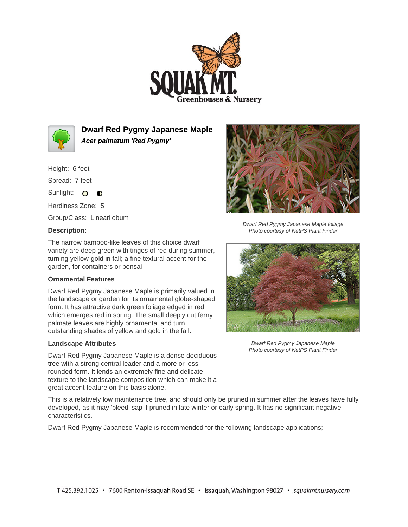



**Dwarf Red Pygmy Japanese Maple Acer palmatum 'Red Pygmy'**

Height: 6 feet

Spread: 7 feet

Sunlight: O O

Hardiness Zone: 5

Group/Class: Linearilobum

## **Description:**

The narrow bamboo-like leaves of this choice dwarf variety are deep green with tinges of red during summer, turning yellow-gold in fall; a fine textural accent for the garden, for containers or bonsai

## **Ornamental Features**

Dwarf Red Pygmy Japanese Maple is primarily valued in the landscape or garden for its ornamental globe-shaped form. It has attractive dark green foliage edged in red which emerges red in spring. The small deeply cut ferny palmate leaves are highly ornamental and turn outstanding shades of yellow and gold in the fall.

## **Landscape Attributes**

Dwarf Red Pygmy Japanese Maple is a dense deciduous tree with a strong central leader and a more or less rounded form. It lends an extremely fine and delicate texture to the landscape composition which can make it a great accent feature on this basis alone.

Dwarf Red Pygmy Japanese Maple foliage Photo courtesy of NetPS Plant Finder



Dwarf Red Pygmy Japanese Maple Photo courtesy of NetPS Plant Finder

This is a relatively low maintenance tree, and should only be pruned in summer after the leaves have fully developed, as it may 'bleed' sap if pruned in late winter or early spring. It has no significant negative characteristics.

Dwarf Red Pygmy Japanese Maple is recommended for the following landscape applications;